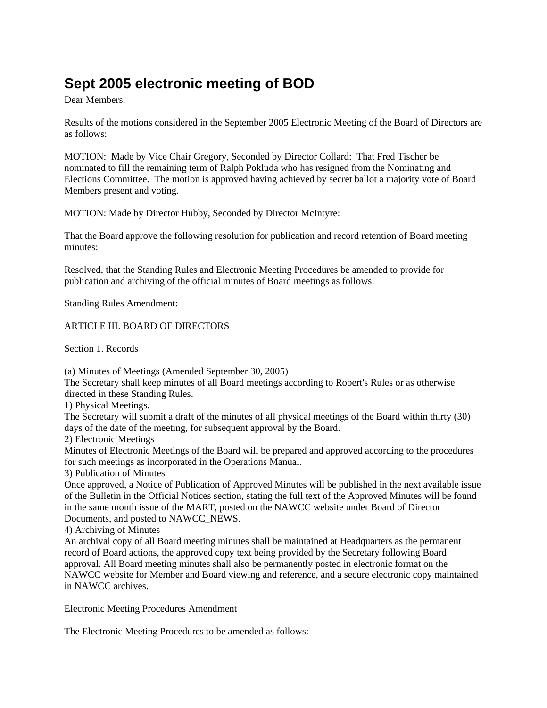## **Sept 2005 electronic meeting of BOD**

Dear Members.

Results of the motions considered in the September 2005 Electronic Meeting of the Board of Directors are as follows:

MOTION: Made by Vice Chair Gregory, Seconded by Director Collard: That Fred Tischer be nominated to fill the remaining term of Ralph Pokluda who has resigned from the Nominating and Elections Committee. The motion is approved having achieved by secret ballot a majority vote of Board Members present and voting.

MOTION: Made by Director Hubby, Seconded by Director McIntyre:

That the Board approve the following resolution for publication and record retention of Board meeting minutes:

Resolved, that the Standing Rules and Electronic Meeting Procedures be amended to provide for publication and archiving of the official minutes of Board meetings as follows:

Standing Rules Amendment:

## ARTICLE III. BOARD OF DIRECTORS

Section 1. Records

(a) Minutes of Meetings (Amended September 30, 2005)

The Secretary shall keep minutes of all Board meetings according to Robert's Rules or as otherwise directed in these Standing Rules.

1) Physical Meetings.

The Secretary will submit a draft of the minutes of all physical meetings of the Board within thirty (30) days of the date of the meeting, for subsequent approval by the Board.

2) Electronic Meetings

Minutes of Electronic Meetings of the Board will be prepared and approved according to the procedures for such meetings as incorporated in the Operations Manual.

3) Publication of Minutes

Once approved, a Notice of Publication of Approved Minutes will be published in the next available issue of the Bulletin in the Official Notices section, stating the full text of the Approved Minutes will be found in the same month issue of the MART, posted on the NAWCC website under Board of Director Documents, and posted to NAWCC\_NEWS.

4) Archiving of Minutes

An archival copy of all Board meeting minutes shall be maintained at Headquarters as the permanent record of Board actions, the approved copy text being provided by the Secretary following Board approval. All Board meeting minutes shall also be permanently posted in electronic format on the NAWCC website for Member and Board viewing and reference, and a secure electronic copy maintained in NAWCC archives.

Electronic Meeting Procedures Amendment

The Electronic Meeting Procedures to be amended as follows: